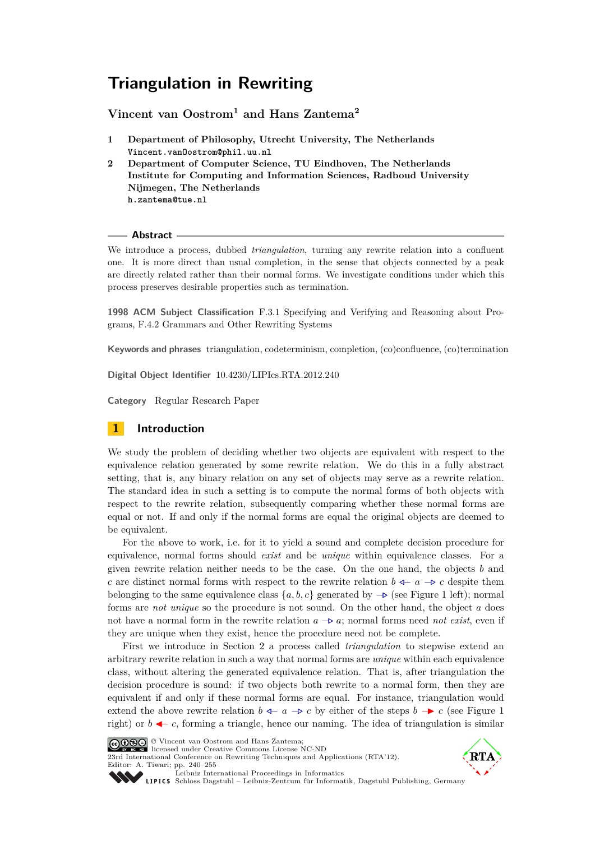# **Triangulation in Rewriting**

# **Vincent van Oostrom<sup>1</sup> and Hans Zantema<sup>2</sup>**

- **1 Department of Philosophy, Utrecht University, The Netherlands Vincent.vanOostrom@phil.uu.nl**
- **2 Department of Computer Science, TU Eindhoven, The Netherlands Institute for Computing and Information Sciences, Radboud University Nijmegen, The Netherlands h.zantema@tue.nl**

#### **Abstract**

We introduce a process, dubbed *triangulation*, turning any rewrite relation into a confluent one. It is more direct than usual completion, in the sense that objects connected by a peak are directly related rather than their normal forms. We investigate conditions under which this process preserves desirable properties such as termination.

**1998 ACM Subject Classification** F.3.1 Specifying and Verifying and Reasoning about Programs, F.4.2 Grammars and Other Rewriting Systems

**Keywords and phrases** triangulation, codeterminism, completion, (co)confluence, (co)termination

**Digital Object Identifier** [10.4230/LIPIcs.RTA.2012.240](http://dx.doi.org/10.4230/LIPIcs.RTA.2012.240)

**Category** Regular Research Paper

# **1 Introduction**

We study the problem of deciding whether two objects are equivalent with respect to the equivalence relation generated by some rewrite relation. We do this in a fully abstract setting, that is, any binary relation on any set of objects may serve as a rewrite relation. The standard idea in such a setting is to compute the normal forms of both objects with respect to the rewrite relation, subsequently comparing whether these normal forms are equal or not. If and only if the normal forms are equal the original objects are deemed to be equivalent.

For the above to work, i.e. for it to yield a sound and complete decision procedure for equivalence, normal forms should *exist* and be *unique* within equivalence classes. For a given rewrite relation neither needs to be the case. On the one hand, the objects *b* and *c* are distinct normal forms with respect to the rewrite relation  $b \leftarrow a \rightarrow c$  despite them belonging to the same equivalence class  $\{a, b, c\}$  generated by  $\rightarrow \infty$  (see Figure [1](#page-1-0) left); normal forms are *not unique* so the procedure is not sound. On the other hand, the object *a* does not have a normal form in the rewrite relation  $a \rightarrow a$ ; normal forms need *not exist*, even if they are unique when they exist, hence the procedure need not be complete.

First we introduce in Section [2](#page-2-0) a process called *triangulation* to stepwise extend an arbitrary rewrite relation in such a way that normal forms are *unique* within each equivalence class, without altering the generated equivalence relation. That is, after triangulation the decision procedure is sound: if two objects both rewrite to a normal form, then they are equivalent if and only if these normal forms are equal. For instance, triangulation would extend the above rewrite relation  $b \leftarrow a \rightarrow c$  by either of the steps  $b \rightarrow c$  (see Figure [1](#page-1-0) right) or  $b \leftarrow c$ , forming a triangle, hence our naming. The idea of triangulation is similar



© Vincent van Oostrom and Hans Zantema; licensed under Creative Commons License NC-ND

[23rd International Conference on Rewriting Techniques and Applications \(RTA'12\).](http://www.dagstuhl.de/dagpub/978-3-939897-38-5) Editor: A. Tiwari; pp. 240[–255](#page-15-0)



[Leibniz International Proceedings in Informatics](http://www.dagstuhl.de/lipics/)

Leibniz international Froceenings in missimoses<br>LIPICS [Schloss Dagstuhl – Leibniz-Zentrum für Informatik, Dagstuhl Publishing, Germany](http://www.dagstuhl.de)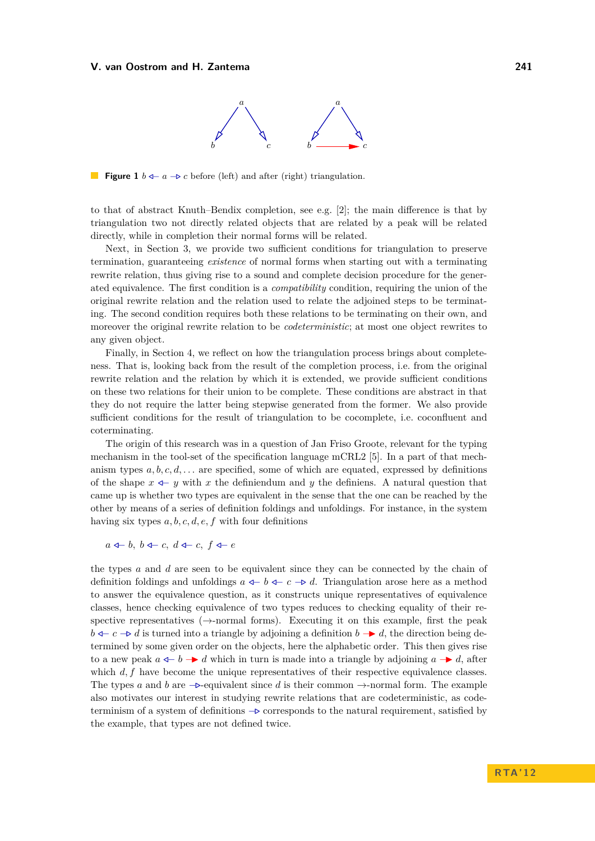

<span id="page-1-0"></span>**Figure 1**  $b \leftarrow a \rightarrow c$  before (left) and after (right) triangulation.

to that of abstract Knuth–Bendix completion, see e.g. [\[2\]](#page-15-1); the main difference is that by triangulation two not directly related objects that are related by a peak will be related directly, while in completion their normal forms will be related.

Next, in Section [3,](#page-4-0) we provide two sufficient conditions for triangulation to preserve termination, guaranteeing *existence* of normal forms when starting out with a terminating rewrite relation, thus giving rise to a sound and complete decision procedure for the generated equivalence. The first condition is a *compatibility* condition, requiring the union of the original rewrite relation and the relation used to relate the adjoined steps to be terminating. The second condition requires both these relations to be terminating on their own, and moreover the original rewrite relation to be *codeterministic*; at most one object rewrites to any given object.

Finally, in Section [4,](#page-9-0) we reflect on how the triangulation process brings about completeness. That is, looking back from the result of the completion process, i.e. from the original rewrite relation and the relation by which it is extended, we provide sufficient conditions on these two relations for their union to be complete. These conditions are abstract in that they do not require the latter being stepwise generated from the former. We also provide sufficient conditions for the result of triangulation to be cocomplete, i.e. coconfluent and coterminating.

The origin of this research was in a question of Jan Friso Groote, relevant for the typing mechanism in the tool-set of the specification language mCRL2 [\[5\]](#page-15-2). In a part of that mechanism types  $a, b, c, d, \ldots$  are specified, some of which are equated, expressed by definitions of the shape  $x \leftarrow y$  with  $x$  the definiendum and  $y$  the definiens. A natural question that came up is whether two types are equivalent in the sense that the one can be reached by the other by means of a series of definition foldings and unfoldings. For instance, in the system having six types *a, b, c, d, e, f* with four definitions

*a*  $\triangleleft$ *- b*, *b*  $\triangleleft$ *- c*, *d*  $\triangleleft$ *- c*, *f*  $\triangleleft$ *- e* 

the types *a* and *d* are seen to be equivalent since they can be connected by the chain of definition foldings and unfoldings  $a \leftarrow b \leftarrow c \leftarrow b$  *d*. Triangulation arose here as a method to answer the equivalence question, as it constructs unique representatives of equivalence classes, hence checking equivalence of two types reduces to checking equality of their respective representatives  $(\rightarrow$ -normal forms). Executing it on this example, first the peak *b*  $\leq$  −*. c* −*b d* is turned into a triangle by adjoining a definition *b* − *d*, the direction being determined by some given order on the objects, here the alphabetic order. This then gives rise to a new peak  $a \leftarrow b \rightarrow d$  which in turn is made into a triangle by adjoining  $a \rightarrow d$ , after which  $d, f$  have become the unique representatives of their respective equivalence classes. The types *a* and *b* are  $-\triangleright$ -equivalent since *d* is their common  $\rightarrow$ -normal form. The example also motivates our interest in studying rewrite relations that are codeterministic, as codeterminism of a system of definitions −*.* corresponds to the natural requirement, satisfied by the example, that types are not defined twice.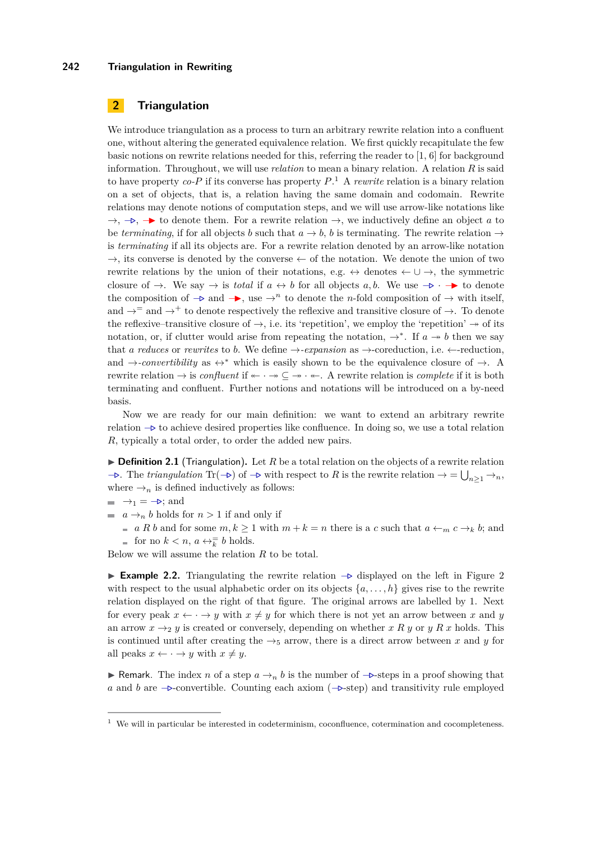#### **242 Triangulation in Rewriting**

# <span id="page-2-0"></span>**2 Triangulation**

We introduce triangulation as a process to turn an arbitrary rewrite relation into a confluent one, without altering the generated equivalence relation. We first quickly recapitulate the few basic notions on rewrite relations needed for this, referring the reader to  $[1, 6]$  $[1, 6]$  for background information. Throughout, we will use *relation* to mean a binary relation. A relation *R* is said to have property *co-P* if its converse has property *P*. <sup>1</sup> A *rewrite* relation is a binary relation on a set of objects, that is, a relation having the same domain and codomain. Rewrite relations may denote notions of computation steps, and we will use arrow-like notations like  $\rightarrow$ ,  $\rightarrow$ ,  $\rightarrow$  to denote them. For a rewrite relation  $\rightarrow$ , we inductively define an object *a* to be *terminating*, if for all objects *b* such that  $a \to b$ , *b* is terminating. The rewrite relation  $\to$ is *terminating* if all its objects are. For a rewrite relation denoted by an arrow-like notation  $\rightarrow$ , its converse is denoted by the converse  $\leftarrow$  of the notation. We denote the union of two rewrite relations by the union of their notations, e.g.  $\leftrightarrow$  denotes  $\leftarrow$   $\cup \rightarrow$ , the symmetric closure of  $\rightarrow$ . We say  $\rightarrow$  is *total* if  $a \leftrightarrow b$  for all objects  $a, b$ . We use  $\rightarrow$   $\rightarrow$  to denote the composition of  $\rightarrow \infty$  and  $\rightarrow$ , use  $\rightarrow^n$  to denote the *n*-fold composition of  $\rightarrow$  with itself, and  $\rightarrow$ <sup>=</sup> and  $\rightarrow$ <sup>+</sup> to denote respectively the reflexive and transitive closure of  $\rightarrow$ . To denote the reflexive–transitive closure of  $\rightarrow$ , i.e. its 'repetition', we employ the 'repetition'  $\rightarrow$  of its notation, or, if clutter would arise from repeating the notation,  $\rightarrow^*$ . If  $a \rightarrow b$  then we say that *a* reduces or rewrites to *b*. We define  $\rightarrow$ -expansion as  $\rightarrow$ -coreduction, i.e.  $\leftarrow$ -reduction, and  $\rightarrow$ *-convertibility* as  $\leftrightarrow^*$  which is easily shown to be the equivalence closure of  $\rightarrow$ . A rewrite relation  $\rightarrow$  is *confluent* if  $\leftarrow \cdot \rightarrow \subseteq \rightarrow \cdot \leftarrow$ . A rewrite relation is *complete* if it is both terminating and confluent. Further notions and notations will be introduced on a by-need basis.

Now we are ready for our main definition: we want to extend an arbitrary rewrite relation −*.* to achieve desired properties like confluence. In doing so, we use a total relation *R*, typically a total order, to order the added new pairs.

 $\triangleright$  **Definition 2.1** (Triangulation). Let *R* be a total relation on the objects of a rewrite relation  $\rightarrow$  The *triangulation* Tr( $\rightarrow$ ) of  $\rightarrow$  with respect to *R* is the rewrite relation  $\rightarrow$  =  $\bigcup_{n\geq 1}$  $\rightarrow$ <sub>*n*</sub>, where  $\rightarrow_n$  is defined inductively as follows:

$$
\blacksquare \rightarrow_1 \, = \, \rightarrow; \text{and}
$$

 $\blacksquare$  *a*  $\rightarrow$ <sub>*n*</sub> *b* holds for *n* > 1 if and only if

*a R b* and for some  $m, k ≥ 1$  with  $m + k = n$  there is a *c* such that  $a ←_m c →_k b$ ; and for no  $k < n$ ,  $a \leftrightarrow \overline{k}$  *b* holds.

Below we will assume the relation *R* to be total.

<span id="page-2-1"></span>**Example [2](#page-3-0).2.** Triangulating the rewrite relation  $\rightarrow$  displayed on the left in Figure 2 with respect to the usual alphabetic order on its objects  $\{a, \ldots, h\}$  gives rise to the rewrite relation displayed on the right of that figure. The original arrows are labelled by 1. Next for every peak  $x \leftarrow y$  with  $x \neq y$  for which there is not yet an arrow between x and y an arrow  $x \rightarrow_2 y$  is created or conversely, depending on whether *x R y* or *y R x* holds. This is continued until after creating the  $\rightarrow$ <sub>5</sub> arrow, there is a direct arrow between *x* and *y* for all peaks  $x \leftarrow y$  with  $x \neq y$ .

**► Remark.** The index *n* of a step  $a \rightarrow_n b$  is the number of  $-\triangleright$ -steps in a proof showing that *a* and *b* are  $\rightarrow$ -convertible. Counting each axiom ( $\rightarrow$ -step) and transitivity rule employed

 $1$  We will in particular be interested in codeterminism, coconfluence, cotermination and cocompleteness.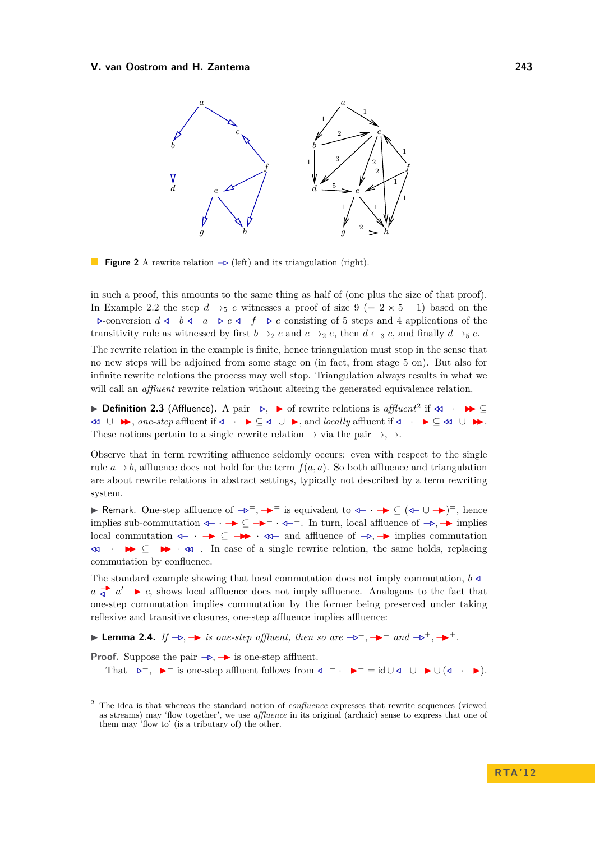<span id="page-3-0"></span>

**Figure 2** A rewrite relation  $\rightarrow$  (left) and its triangulation (right).

in such a proof, this amounts to the same thing as half of (one plus the size of that proof). In Example [2.2](#page-2-1) the step  $d \rightarrow_5 e$  witnesses a proof of size 9 (= 2 × 5 − 1) based on the −*.*-conversion *d /*− *b /*− *a* −*. c /*− *f* −*. e* consisting of 5 steps and 4 applications of the transitivity rule as witnessed by first  $b \rightarrow_2 c$  and  $c \rightarrow_2 e$ , then  $d \leftarrow_3 c$ , and finally  $d \rightarrow_5 e$ .

The rewrite relation in the example is finite, hence triangulation must stop in the sense that no new steps will be adjoined from some stage on (in fact, from stage 5 on). But also for infinite rewrite relations the process may well stop. Triangulation always results in what we will call an *affluent* rewrite relation without altering the generated equivalence relation.

**Definition 2.3** (Affluence). A pair  $\rightarrow$ ,  $\rightarrow$  of rewrite relations is *affluent*<sup>2</sup> if  $\ll$   $\rightarrow$   $\rightarrow$  ⊆ *//*−∪−II, *one-step* affluent if */*− · −I ⊆ */*−∪−I, and *locally* affluent if */*− · −I ⊆ *//*−∪−II. These notions pertain to a single rewrite relation  $\rightarrow$  via the pair  $\rightarrow$ ,  $\rightarrow$ .

Observe that in term rewriting affluence seldomly occurs: even with respect to the single rule  $a \rightarrow b$ , affluence does not hold for the term  $f(a, a)$ . So both affluence and triangulation are about rewrite relations in abstract settings, typically not described by a term rewriting system.

**F** Remark. One-step affluence of  $\rightarrow e^-$ ,  $\rightarrow e^-$  is equivalent to  $\leftarrow \rightarrow \rightarrow e^+$  ( $\leftarrow \rightarrow e^+$ )<sup>=</sup>, hence implies sub-commutation  $\leftarrow \cdot$  →  $\subseteq$  →  $\cdot$  *→*  $\cdot$  *+*  $\cdot$  *+*  $\cdot$  *+*  $\cdot$  *+*  $\cdot$  *+*  $\cdot$  *+*  $\cdot$  *+*  $\cdot$  *+*  $\cdot$  *+*  $\cdot$  *+*  $\cdot$  *+*  $\cdot$  *+*  $\cdot$  *+*  $\cdot$  *+*  $\cdot$  *+*  $\cdot$  *+*  $\cdot$  *+*  $\cdot$  *+*  $\cdot$  *+* local commutation */*− · −I ⊆ −II · *//*− and affluence of −*.,* −I implies commutation *//*− · −II ⊆ −II · *//*−. In case of a single rewrite relation, the same holds, replacing commutation by confluence.

The standard example showing that local commutation does not imply commutation, *b /*− *a*  $\frac{1}{4}$  *a*<sup> $\frac{1}{4}$  *a*<sup> $\frac{1}{4}$  *c*, shows local affluence does not imply affluence. Analogous to the fact that</sup></sup> one-step commutation implies commutation by the former being preserved under taking reflexive and transitive closures, one-step affluence implies affluence:

<span id="page-3-1"></span>**► Lemma 2.4.** *If*  $\rightarrow$ *.*  $\rightarrow$  *is one-step affluent, then so are*  $\rightarrow$ <sup> $=$ </sup>,  $\rightarrow$ <sup> $=$ </sup> *and*  $\rightarrow$ <sup> $+$ </sup>.  $\rightarrow$ <sup> $+$ </sup>.

**Proof.** Suppose the pair  $-\triangleright$ ,  $\rightarrow$  is one-step affluent.

That  $\neg$ <sup>-</sup>,  $\blacktriangleright$ <sup>=</sup> is one-step affluent follows from  $\triangleleft$ <sup>-</sup>  $\blacktriangleright$   $\blacktriangleright$  = = id  $\cup$   $\triangleleft$   $\cup$   $\blacktriangleright$   $\blacktriangleright$   $\blacktriangleright$   $\blacktriangleleft$ .

<sup>2</sup> The idea is that whereas the standard notion of *confluence* expresses that rewrite sequences (viewed as streams) may 'flow together', we use *affluence* in its original (archaic) sense to express that one of them may 'flow to' (is a tributary of) the other.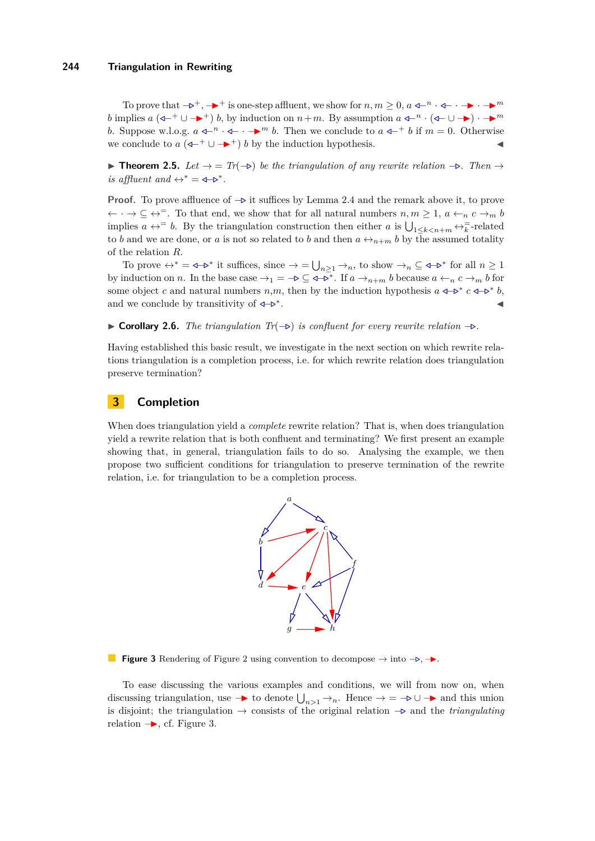#### **244 Triangulation in Rewriting**

To prove that  $-\mathbf{p}^+$ ,  $-\mathbf{p}^+$  is one-step affluent, we show for  $n, m \geq 0$ ,  $a \leftarrow^n \cdot \mathbf{p}^+$ . *b* implies  $a$  ( $\leftarrow^{+} \cup \rightarrow^{+}$ ) *b*, by induction on  $n+m$ . By assumption  $a \leftarrow^{n} \cdot (\leftarrow^{+} \cup \rightarrow) \cdot \rightarrow^{m}$ *b*. Suppose w.l.o.g.  $a \leftarrow^{n} \leftarrow \cdots \leftarrow^{m} b$ . Then we conclude to  $a \leftarrow^{+} b$  if  $m = 0$ . Otherwise we conclude to  $a(\rightarrow +\cup \rightarrow +) b$  by the induction hypothesis.

<span id="page-4-2"></span>**Figure 1.5.** *Let*  $\rightarrow$  = *Tr*( $\rightarrow$ ) *be the triangulation of any rewrite relation*  $\rightarrow$ *. Then* → *is affluent and*  $\leftrightarrow^* = \textbf{I} - \textbf{D}^*$ .

**Proof.** To prove affluence of  $\rightarrow \infty$  it suffices by Lemma [2.4](#page-3-1) and the remark above it, to prove  $\leftarrow \cdot \rightarrow \subseteq \leftrightarrow^=$ . To that end, we show that for all natural numbers  $n, m \geq 1$ ,  $a \leftarrow_n c \rightarrow_m b$ implies  $a \leftrightarrow^{-} b$ . By the triangulation construction then either *a* is  $\bigcup_{1 \leq k < n+m} \leftrightarrow^{\pm}_k$ -related to *b* and we are done, or *a* is not so related to *b* and then  $a \leftrightarrow_{n+m} b$  by the assumed totality of the relation *R*.

To prove  $\leftrightarrow^* = \text{I}_*$  it suffices, since  $\to = \bigcup_{n \geq 1} \to_n$ , to show  $\to_n \subseteq \text{I}_*$  for all  $n \geq 1$ by induction on *n*. In the base case  $\rightarrow_1 = -\triangleright \subseteq \triangleleft -\overline{\triangleright}^*$ . If  $a \rightarrow_{n+m} b$  because  $a \leftarrow_n c \rightarrow_m b$  for some object *c* and natural numbers *n*,*m*, then by the induction hypothesis  $a \leftarrow b^* c \leftarrow b^* b$ , and we conclude by transitivity of  $\leftarrow$ <sup>\*</sup>. . J

**► Corollary 2.6.** *The triangulation Tr*( $\rightarrow$ ) *is confluent for every rewrite relation*  $\rightarrow$ .

Having established this basic result, we investigate in the next section on which rewrite relations triangulation is a completion process, i.e. for which rewrite relation does triangulation preserve termination?

# <span id="page-4-0"></span>**3 Completion**

<span id="page-4-1"></span>When does triangulation yield a *complete* rewrite relation? That is, when does triangulation yield a rewrite relation that is both confluent and terminating? We first present an example showing that, in general, triangulation fails to do so. Analysing the example, we then propose two sufficient conditions for triangulation to preserve termination of the rewrite relation, i.e. for triangulation to be a completion process.



**Figure 3** Rendering of Figure [2](#page-3-0) using convention to decompose  $\rightarrow$  into  $\neg$ ,  $\rightarrow$ .

To ease discussing the various examples and conditions, we will from now on, when discussing triangulation, use  $\rightarrow$  to denote  $\bigcup_{n>1} \rightarrow_n$ . Hence  $\rightarrow$  =  $\rightarrow$   $\cup$   $\rightarrow$  and this union is disjoint; the triangulation → consists of the original relation −*.* and the *triangulating* relation  $\rightarrow$ , cf. Figure [3.](#page-4-1)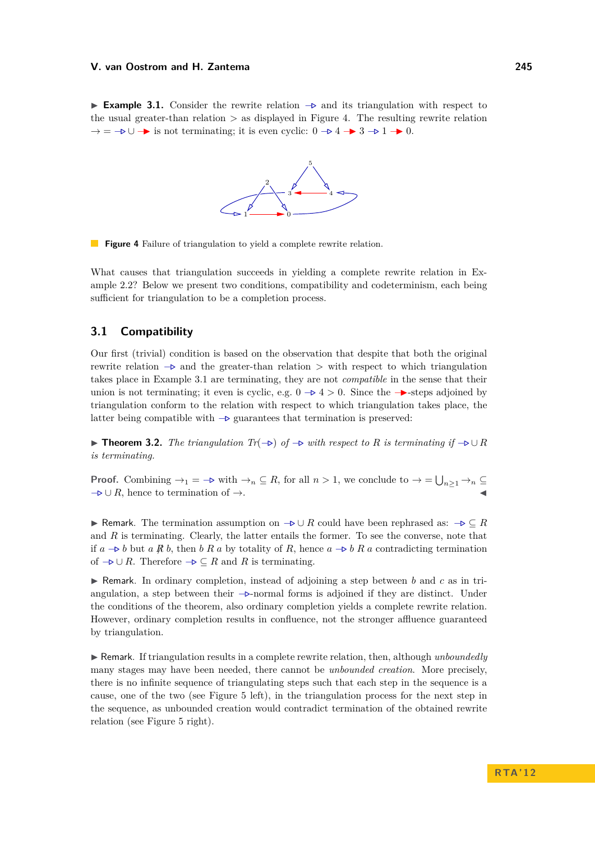<span id="page-5-1"></span><span id="page-5-0"></span>**Example 3.1.** Consider the rewrite relation  $\rightarrow$  and its triangulation with respect to the usual greater-than relation *>* as displayed in Figure [4.](#page-5-0) The resulting rewrite relation  $\rightarrow$  =  $\rightarrow$   $\rightarrow$  is not terminating; it is even cyclic: 0  $\rightarrow$  4  $\rightarrow$  3  $\rightarrow$  1  $\rightarrow$  0.



**Figure 4** Failure of triangulation to yield a complete rewrite relation.

What causes that triangulation succeeds in yielding a complete rewrite relation in Example [2.2?](#page-2-1) Below we present two conditions, compatibility and codeterminism, each being sufficient for triangulation to be a completion process.

# **3.1 Compatibility**

Our first (trivial) condition is based on the observation that despite that both the original rewrite relation −*.* and the greater-than relation *>* with respect to which triangulation takes place in Example [3.1](#page-5-1) are terminating, they are not *compatible* in the sense that their union is not terminating; it even is cyclic, e.g.  $0 \rightarrow 4 > 0$ . Since the  $\rightarrow$ -steps adjoined by triangulation conform to the relation with respect to which triangulation takes place, the latter being compatible with −*.* guarantees that termination is preserved:

<span id="page-5-2"></span>**► Theorem 3.2.** *The triangulation Tr*( $\rightarrow$ ) *of*  $\rightarrow$  *with respect to R is terminating if*  $\rightarrow$  ∪ *R is terminating.*

**Proof.** Combining  $\rightarrow_1 = -\mathbf{\triangleright}$  with  $\rightarrow_n \subseteq R$ , for all  $n > 1$ , we conclude to  $\rightarrow = \bigcup_{n \geq 1} \rightarrow_n \subseteq R$  $\neg$  ∪ *R*, hence to termination of  $\rightarrow$ .

**I** Remark. The termination assumption on  $\rightarrow \cup R$  could have been rephrased as:  $\rightarrow \subseteq R$ and *R* is terminating. Clearly, the latter entails the former. To see the converse, note that if  $a$   $\rightarrow$  *b* but *a*  $\cancel{R}$  *b*, then *b*  $R$  *a* by totality of  $R$ , hence  $a$   $\rightarrow$  *b*  $R$  *a* contradicting termination of  $\neg$  ∪ *R*. Therefore  $\neg$  ⊆ *R* and *R* is terminating.

I Remark. In ordinary completion, instead of adjoining a step between *b* and *c* as in triangulation, a step between their −*.*-normal forms is adjoined if they are distinct. Under the conditions of the theorem, also ordinary completion yields a complete rewrite relation. However, ordinary completion results in confluence, not the stronger affluence guaranteed by triangulation.

**I** Remark. If triangulation results in a complete rewrite relation, then, although *unboundedly* many stages may have been needed, there cannot be *unbounded creation*. More precisely, there is no infinite sequence of triangulating steps such that each step in the sequence is a cause, one of the two (see Figure [5](#page-6-0) left), in the triangulation process for the next step in the sequence, as unbounded creation would contradict termination of the obtained rewrite relation (see Figure [5](#page-6-0) right).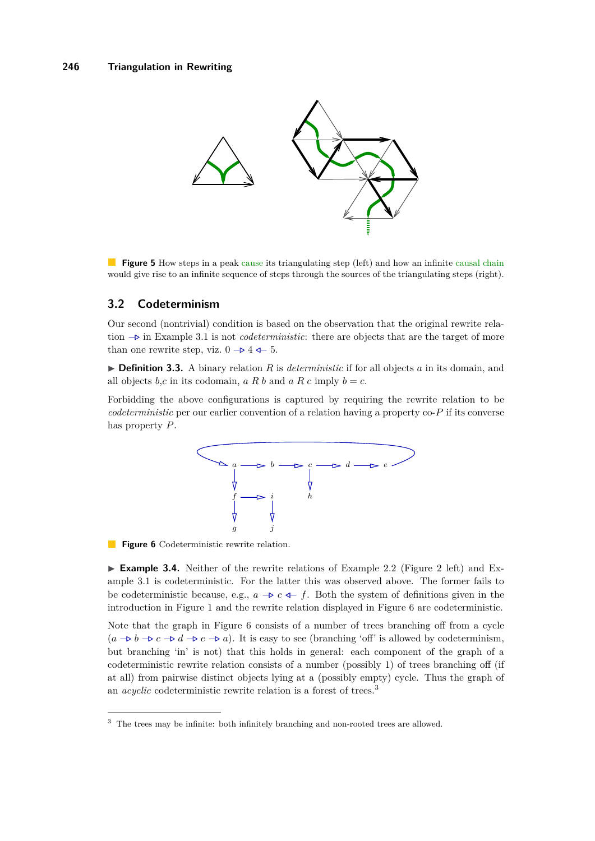<span id="page-6-0"></span>

**Figure 5** How steps in a peak cause its triangulating step (left) and how an infinite causal chain would give rise to an infinite sequence of steps through the sources of the triangulating steps (right).

# **3.2 Codeterminism**

Our second (nontrivial) condition is based on the observation that the original rewrite relation −*.* in Example [3.1](#page-5-1) is not *codeterministic*: there are objects that are the target of more than one rewrite step, viz.  $0 \rightarrow 4 \leftarrow 5$ .

 $\triangleright$  **Definition 3.3.** A binary relation *R* is *deterministic* if for all objects *a* in its domain, and all objects *b*,*c* in its codomain, *a R b* and *a R c* imply  $b = c$ .

<span id="page-6-1"></span>Forbidding the above configurations is captured by requiring the rewrite relation to be *codeterministic* per our earlier convention of a relation having a property co-*P* if its converse has property *P*.



**Figure 6** Codeterministic rewrite relation.

► **Example 3.4.** Neither of the rewrite relations of Example [2.2](#page-2-1) (Figure [2](#page-3-0) left) and Example [3.1](#page-5-1) is codeterministic. For the latter this was observed above. The former fails to be codeterministic because, e.g.,  $a \rightarrow c \leftarrow f$ . Both the system of definitions given in the introduction in Figure [1](#page-1-0) and the rewrite relation displayed in Figure [6](#page-6-1) are codeterministic.

Note that the graph in Figure [6](#page-6-1) consists of a number of trees branching off from a cycle  $(a \rightarrow b \rightarrow c \rightarrow d \rightarrow e \rightarrow a)$ . It is easy to see (branching 'off' is allowed by codeterminism, but branching 'in' is not) that this holds in general: each component of the graph of a codeterministic rewrite relation consists of a number (possibly 1) of trees branching off (if at all) from pairwise distinct objects lying at a (possibly empty) cycle. Thus the graph of an *acyclic* codeterministic rewrite relation is a forest of trees.<sup>3</sup>

<sup>&</sup>lt;sup>3</sup> The trees may be infinite: both infinitely branching and non-rooted trees are allowed.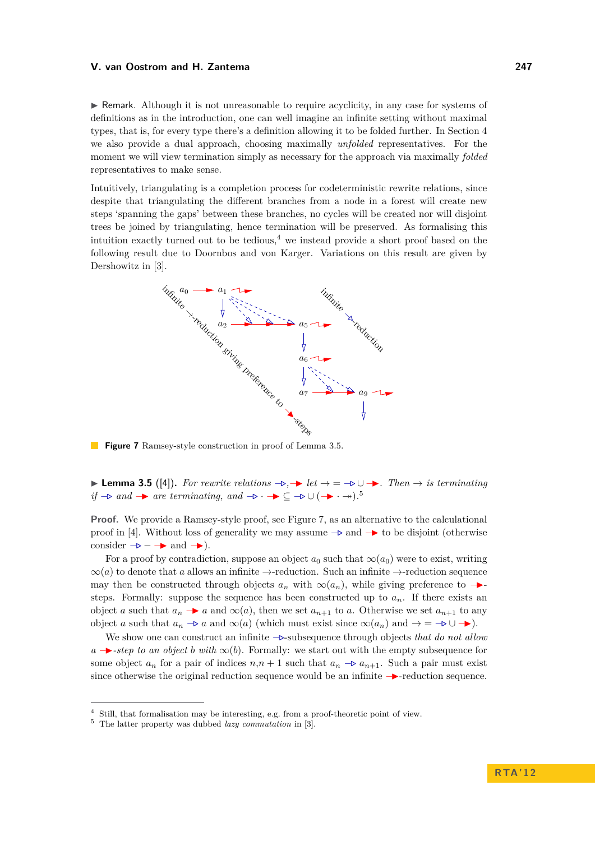$\triangleright$  Remark. Although it is not unreasonable to require acyclicity, in any case for systems of definitions as in the introduction, one can well imagine an infinite setting without maximal types, that is, for every type there's a definition allowing it to be folded further. In Section [4](#page-9-0) we also provide a dual approach, choosing maximally *unfolded* representatives. For the moment we will view termination simply as necessary for the approach via maximally *folded* representatives to make sense.

Intuitively, triangulating is a completion process for codeterministic rewrite relations, since despite that triangulating the different branches from a node in a forest will create new steps 'spanning the gaps' between these branches, no cycles will be created nor will disjoint trees be joined by triangulating, hence termination will be preserved. As formalising this intuition exactly turned out to be tedious,<sup>4</sup> we instead provide a short proof based on the following result due to Doornbos and von Karger. Variations on this result are given by Dershowitz in [\[3\]](#page-15-5).

<span id="page-7-1"></span>

**Figure 7** Ramsey-style construction in proof of Lemma [3.5.](#page-7-0)

<span id="page-7-0"></span>**► Lemma 3.5** ([\[4\]](#page-15-6)). For rewrite relations  $\rightarrow \rightarrow$  let  $\rightarrow$  =  $\rightarrow \cup \rightarrow$ . Then  $\rightarrow$  is terminating *if*  $\rightarrow$  *and*  $\rightarrow$  *are terminating, and*  $\rightarrow$   $\rightarrow$   $\rightarrow$  ⊆  $\rightarrow$  ∪  $(\rightarrow \rightarrow \rightarrow)$ .<sup>5</sup>

Proof. We provide a Ramsey-style proof, see Figure [7,](#page-7-1) as an alternative to the calculational proof in [\[4\]](#page-15-6). Without loss of generality we may assume  $\rightarrow \infty$  and  $\rightarrow \infty$  to be disjoint (otherwise consider  $-\triangleright$  –  $\rightarrow$  and  $\rightarrow$ ).

For a proof by contradiction, suppose an object  $a_0$  such that  $\infty(a_0)$  were to exist, writing  $\infty$ (*a*) to denote that *a* allows an infinite  $\rightarrow$ -reduction. Such an infinite  $\rightarrow$ -reduction sequence may then be constructed through objects  $a_n$  with  $\infty(a_n)$ , while giving preference to  $\rightarrow$ steps. Formally: suppose the sequence has been constructed up to  $a_n$ . If there exists an object *a* such that  $a_n \rightarrow a$  and  $\infty(a)$ , then we set  $a_{n+1}$  to *a*. Otherwise we set  $a_{n+1}$  to any object *a* such that  $a_n \to a$  and  $\infty(a)$  (which must exist since  $\infty(a_n)$  and  $\to = -\triangleright \cup \to$ ).

We show one can construct an infinite  $-\triangleright$ -subsequence through objects *that do not allow*  $a \rightarrow$ *-step to an object b with*  $\infty(b)$ . Formally: we start out with the empty subsequence for some object  $a_n$  for a pair of indices  $n, n + 1$  such that  $a_n \rightarrow a_{n+1}$ . Such a pair must exist since otherwise the original reduction sequence would be an infinite →-reduction sequence.

<sup>4</sup> Still, that formalisation may be interesting, e.g. from a proof-theoretic point of view.

<sup>5</sup> The latter property was dubbed *lazy commutation* in [\[3\]](#page-15-5).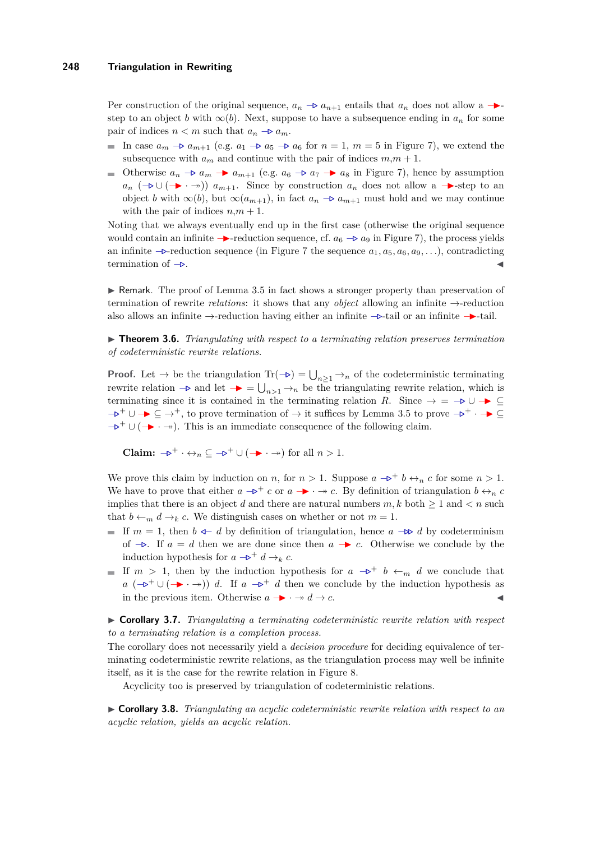Per construction of the original sequence,  $a_n \rightarrow a_{n+1}$  entails that  $a_n$  does not allow a  $\rightarrow$ step to an object *b* with  $\infty(b)$ . Next, suppose to have a subsequence ending in  $a_n$  for some pair of indices  $n < m$  such that  $a_n \rightarrow a_m$ .

- **In** case  $a_m \rightarrow a_{m+1}$  (e.g.  $a_1 \rightarrow a_5 \rightarrow a_6$  for  $n = 1, m = 5$  in Figure [7\)](#page-7-1), we extend the subsequence with  $a_m$  and continue with the pair of indices  $m,m+1$ .
- Otherwise  $a_n \rightarrow a_m \rightarrow a_{m+1}$  (e.g.  $a_6 \rightarrow a_7 \rightarrow a_8$  in Figure [7\)](#page-7-1), hence by assumption  $a_n$  ( $\rightarrow$  ∪ ( $\rightarrow$  ·  $\rightarrow$ ))  $a_{m+1}$ . Since by construction  $a_n$  does not allow a  $\rightarrow$ -step to an object *b* with  $\infty(b)$ , but  $\infty(a_{m+1})$ , in fact  $a_n \to a_{m+1}$  must hold and we may continue with the pair of indices  $n,m+1$ .

Noting that we always eventually end up in the first case (otherwise the original sequence would contain an infinite  $\rightarrow$ -reduction sequence, cf.  $a_6 \rightarrow a_9$  in Figure [7\)](#page-7-1), the process yields an infinite −*.*-reduction sequence (in Figure [7](#page-7-1) the sequence *a*1*, a*5*, a*6*, a*9*, . . .*), contradicting termination of  $\rightarrow$ .

 $\triangleright$  Remark. The proof of Lemma [3.5](#page-7-0) in fact shows a stronger property than preservation of termination of rewrite *relations*: it shows that any *object* allowing an infinite →-reduction also allows an infinite →-reduction having either an infinite −*.*-tail or an infinite −I-tail.

<span id="page-8-0"></span>▶ **Theorem 3.6.** *Triangulating with respect to a terminating relation preserves termination of codeterministic rewrite relations.*

**Proof.** Let  $\to$  be the triangulation Tr( $\to$ ) =  $\bigcup_{n\geq 1} \to_n$  of the codeterministic terminating rewrite relation  $\rightarrow$  and let  $\rightarrow$  =  $\bigcup_{n>1} \rightarrow_n$  be the triangulating rewrite relation, which is terminating since it is contained in the terminating relation *R*. Since  $\rightarrow$  =  $\neg$  ∪  $\rightarrow \subseteq$  $-\rightarrow$ <sup>+</sup> ∪ → ⊆ →<sup>+</sup>, to prove termination of → it suffices by Lemma [3.5](#page-7-0) to prove  $-\rightarrow$ <sup>+</sup> · → ⊆  $-\triangleright^+ \cup (\rightarrow \cdot \rightarrow)$ . This is an immediate consequence of the following claim.

**Claim:**  $\rightarrow$ <sup>+</sup> · ↔  $\subseteq$   $\rightarrow$  + ∪ (→ · → ) for all *n* > 1.

We prove this claim by induction on *n*, for  $n > 1$ . Suppose  $a \rightarrow b^+ b \leftrightarrow_n c$  for some  $n > 1$ . We have to prove that either  $a \rightarrow a^+ c$  or  $a \rightarrow a$ . By definition of triangulation  $b \leftrightarrow_a c$ implies that there is an object *d* and there are natural numbers  $m, k$  both  $\geq 1$  and  $\lt n$  such that  $b \leftarrow_m d \rightarrow_k c$ . We distinguish cases on whether or not  $m = 1$ .

- $\blacksquare$  If *m* = 1, then *b*  $\triangleleft$ − *d* by definition of triangulation, hence *a* − $\triangleright$  *d* by codeterminism of  $\rightarrow$ . If  $a = d$  then we are done since then  $a \rightarrow c$ . Otherwise we conclude by the induction hypothesis for *a*  $→$ <sup>+</sup> *d* →*k c*.
- If  $m > 1$ , then by the induction hypothesis for  $a \rightarrow b^+ b \leftarrow_m d$  we conclude that *a*  $(-\mathbf{D}^+ \cup (-\mathbf{D} \cdot \mathbf{D}))$  *d*. If  $a -\mathbf{D}^+ d$  then we conclude by the induction hypothesis as in the previous item. Otherwise  $a → · → d → c$ .

▶ Corollary 3.7. *Triangulating a terminating codeterministic rewrite relation with respect to a terminating relation is a completion process.*

The corollary does not necessarily yield a *decision procedure* for deciding equivalence of terminating codeterministic rewrite relations, as the triangulation process may well be infinite itself, as it is the case for the rewrite relation in Figure [8.](#page-9-1)

Acyclicity too is preserved by triangulation of codeterministic relations.

<span id="page-8-1"></span>I **Corollary 3.8.** *Triangulating an acyclic codeterministic rewrite relation with respect to an acyclic relation, yields an acyclic relation.*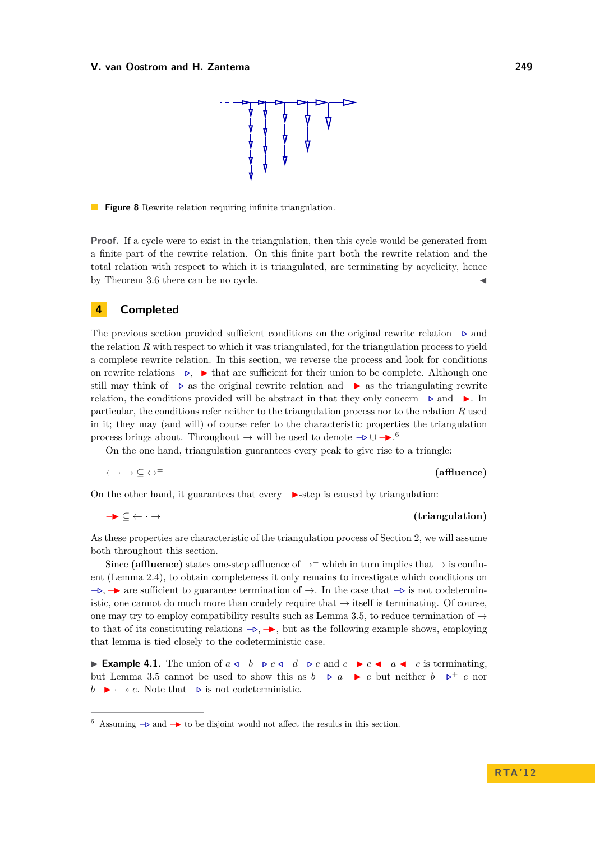

<span id="page-9-1"></span>**Figure 8** Rewrite relation requiring infinite triangulation.

**Proof.** If a cycle were to exist in the triangulation, then this cycle would be generated from a finite part of the rewrite relation. On this finite part both the rewrite relation and the total relation with respect to which it is triangulated, are terminating by acyclicity, hence by Theorem [3.6](#page-8-0) there can be no cycle.

### <span id="page-9-0"></span>**4 Completed**

The previous section provided sufficient conditions on the original rewrite relation −*.* and the relation *R* with respect to which it was triangulated, for the triangulation process to yield a complete rewrite relation. In this section, we reverse the process and look for conditions on rewrite relations  $\rightarrow$ . → that are sufficient for their union to be complete. Although one still may think of  $-\triangleright$  as the original rewrite relation and  $-\triangleright$  as the triangulating rewrite relation, the conditions provided will be abstract in that they only concern  $\rightarrow$  and  $\rightarrow$ . In particular, the conditions refer neither to the triangulation process nor to the relation *R* used in it; they may (and will) of course refer to the characteristic properties the triangulation process brings about. Throughout  $\rightarrow$  will be used to denote  $-\triangleright \cup -\cdot$ <sup>6</sup>.

On the one hand, triangulation guarantees every peak to give rise to a triangle:

$$
\leftarrow \cdot \rightarrow \subseteq \leftrightarrow^= \qquad \qquad \text{(affluence)}
$$

On the other hand, it guarantees that every  $\rightarrow$ -step is caused by triangulation:

 $\rightarrow$  ⊆ ← · → **(triangulation)** 

As these properties are characteristic of the triangulation process of Section [2,](#page-2-0) we will assume both throughout this section.

Since **(affluence)** states one-step affluence of  $\rightarrow$ <sup>=</sup> which in turn implies that  $\rightarrow$  is confluent (Lemma [2.4\)](#page-3-1), to obtain completeness it only remains to investigate which conditions on  $-\rightarrow$ ,  $\rightarrow$  are sufficient to guarantee termination of  $\rightarrow$ . In the case that  $-\rightarrow$  is not codeterministic, one cannot do much more than crudely require that  $\rightarrow$  itself is terminating. Of course, one may try to employ compatibility results such as Lemma [3.5,](#page-7-0) to reduce termination of  $\rightarrow$ to that of its constituting relations  $\rightarrow$ ,  $\rightarrow$ , but as the following example shows, employing that lemma is tied closely to the codeterministic case.

<span id="page-9-2"></span>**Example 4.1.** The union of  $a \leftarrow b \rightarrow c \leftarrow d \rightarrow e$  and  $c \rightarrow e \leftarrow a \leftarrow c$  is terminating, but Lemma [3.5](#page-7-0) cannot be used to show this as  $b \rightarrow a$  → *e* but neither  $b \rightarrow^+ e$  nor  $b \rightarrow \cdot \rightarrow e$ . Note that  $\rightarrow$  is not codeterministic.

<sup>&</sup>lt;sup>6</sup> Assuming  $\rightarrow$  and  $\rightarrow$  to be disjoint would not affect the results in this section.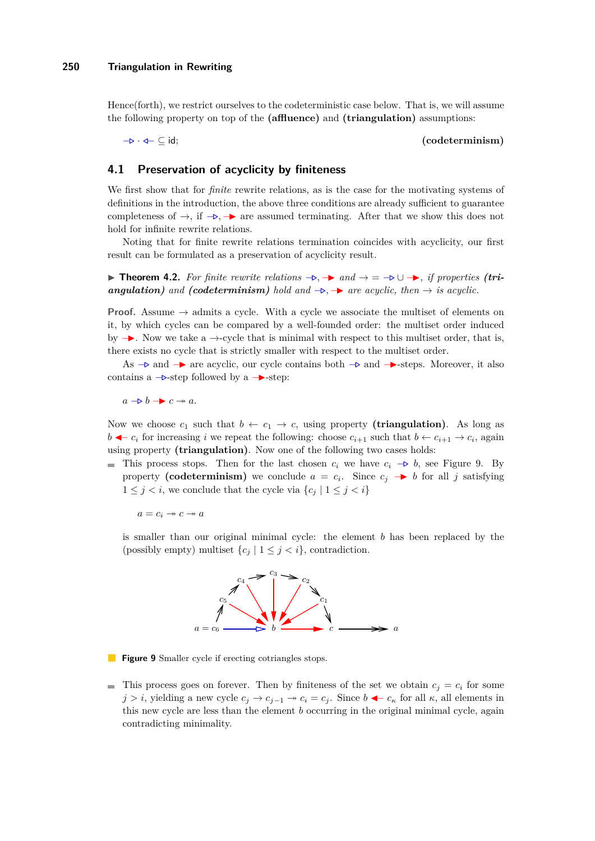Hence(forth), we restrict ourselves to the codeterministic case below. That is, we will assume the following property on top of the **(affluence)** and **(triangulation)** assumptions:

#### −*.* · */*− ⊆ id; **(codeterminism)**

# **4.1 Preservation of acyclicity by finiteness**

We first show that for *finite* rewrite relations, as is the case for the motivating systems of definitions in the introduction, the above three conditions are already sufficient to guarantee completeness of  $\rightarrow$ , if  $\neg$ .  $\rightarrow$  are assumed terminating. After that we show this does not hold for infinite rewrite relations.

Noting that for finite rewrite relations termination coincides with acyclicity, our first result can be formulated as a preservation of acyclicity result.

**► Theorem 4.2.** For finite rewrite relations  $\rightarrow$   $\rightarrow$  and  $\rightarrow$  =  $\rightarrow$   $\cup$   $\rightarrow$ , if properties (tri*angulation*) and (codeterminism) hold and  $\rightarrow$ ,  $\rightarrow$  are acyclic, then  $\rightarrow$  *is acyclic.* 

**Proof.** Assume  $\rightarrow$  admits a cycle. With a cycle we associate the multiset of elements on it, by which cycles can be compared by a well-founded order: the multiset order induced by  $\rightarrow$ . Now we take a  $\rightarrow$ -cycle that is minimal with respect to this multiset order, that is, there exists no cycle that is strictly smaller with respect to the multiset order.

As  $\rightarrow \infty$  and  $\rightarrow \infty$  are acyclic, our cycle contains both  $\rightarrow \infty$  and  $\rightarrow$ -steps. Moreover, it also contains a  $\rightarrow$ -step followed by a  $\rightarrow$ -step:

 $a \rightarrow b \rightarrow c \rightarrow a$ .

Now we choose  $c_1$  such that  $b \leftarrow c_1 \rightarrow c$ , using property (**triangulation**). As long as *b*  $\leftarrow c_i$  for increasing *i* we repeat the following: choose  $c_{i+1}$  such that *b* ←  $c_{i+1}$  →  $c_i$ , again using property **(triangulation)**. Now one of the following two cases holds:

■ This process stops. Then for the last chosen  $c_i$  we have  $c_i \rightarrow b$ , see Figure [9.](#page-10-0) By property (codeterminism) we conclude  $a = c_i$ . Since  $c_j \rightarrow b$  for all *j* satisfying  $1 \leq j \leq i$ , we conclude that the cycle via  $\{c_j \mid 1 \leq j \leq i\}$ 

 $a = c_i \rightarrow c \rightarrow a$ 

<span id="page-10-0"></span>is smaller than our original minimal cycle: the element *b* has been replaced by the (possibly empty) multiset  $\{c_j | 1 \leq j < i\}$ , contradiction.



**Figure 9** Smaller cycle if erecting cotriangles stops.

This process goes on forever. Then by finiteness of the set we obtain  $c_j = c_i$  for some *j* > *i*, yielding a new cycle  $c_j$  →  $c_{j-1}$  →  $c_i = c_j$ . Since  $b$  ←  $c_{\kappa}$  for all  $\kappa$ , all elements in this new cycle are less than the element *b* occurring in the original minimal cycle, again contradicting minimality.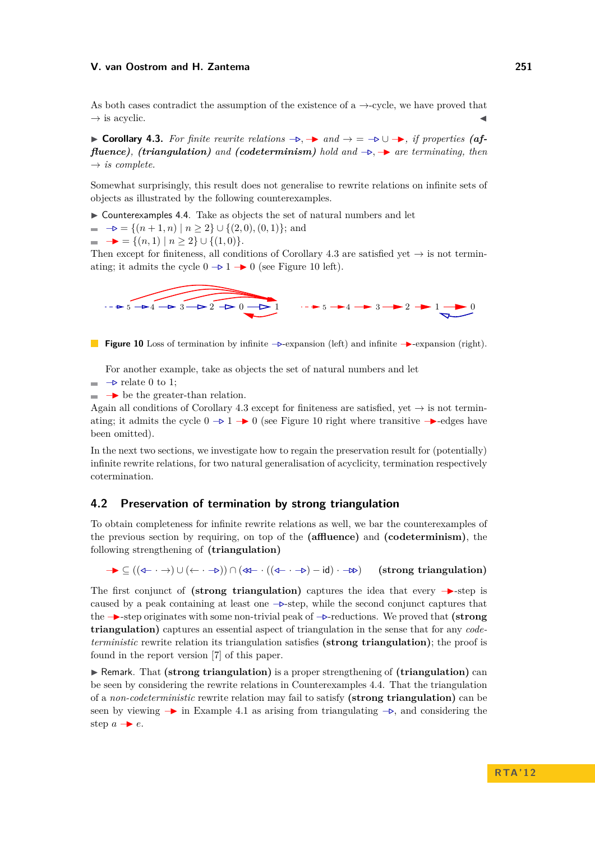As both cases contradict the assumption of the existence of a  $\rightarrow$ -cycle, we have proved that  $\rightarrow$  is acyclic.

<span id="page-11-0"></span>**► Corollary 4.3.** For finite rewrite relations  $\rightarrow$   $\rightarrow$  and  $\rightarrow$  =  $\rightarrow$   $\cup$   $\rightarrow$ , if properties (af*fluence*), *(triangulation)* and *(codeterminism) hold* and  $\rightarrow$ ,  $\rightarrow$  are terminating, then  $\rightarrow$  *is complete.* 

Somewhat surprisingly, this result does not generalise to rewrite relations on infinite sets of objects as illustrated by the following counterexamples.

<span id="page-11-2"></span> $\triangleright$  Counterexamples 4.4. Take as objects the set of natural numbers and let

 $\rightarrow$   $\rightarrow$  = { $(n+1, n) | n \ge 2$ } ∪ { $(2, 0), (0, 1)$ }; and

 $\blacksquare$   $\rightarrow$  = { $(n, 1) | n \ge 2$ } ∪ { $(1, 0)$ }.

Then except for finiteness, all conditions of Corollary [4.3](#page-11-0) are satisfied yet  $\rightarrow$  is not terminating; it admits the cycle  $0$   $\rightarrow$  1  $\rightarrow$  0 (see Figure [10](#page-11-1) left).

<span id="page-11-1"></span>

**Figure 10** Loss of termination by infinite  $\rightarrow$ -expansion (left) and infinite  $\rightarrow$ -expansion (right).

For another example, take as objects the set of natural numbers and let

- −*.* relate 0 to 1;
- −I be the greater-than relation.

Again all conditions of Corollary [4.3](#page-11-0) except for finiteness are satisfied, yet  $\rightarrow$  is not terminating; it admits the cycle  $0 \rightarrow 1 \rightarrow 0$  (see Figure [10](#page-11-1) right where transitive  $\rightarrow$ -edges have been omitted).

In the next two sections, we investigate how to regain the preservation result for (potentially) infinite rewrite relations, for two natural generalisation of acyclicity, termination respectively cotermination.

### **4.2 Preservation of termination by strong triangulation**

To obtain completeness for infinite rewrite relations as well, we bar the counterexamples of the previous section by requiring, on top of the **(affluence)** and **(codeterminism)**, the following strengthening of **(triangulation)**

−I ⊆ ((*/*− · →) ∪ (← · −*.*)) ∩ (*//*− · ((*/*− · −*.*) − id) · −*..*) **(strong triangulation)**

The first conjunct of **(strong triangulation)** captures the idea that every →step is caused by a peak containing at least one  $\rightarrow$ -step, while the second conjunct captures that the −I-step originates with some non-trivial peak of −*.*-reductions. We proved that **(strong triangulation)** captures an essential aspect of triangulation in the sense that for any *codeterministic* rewrite relation its triangulation satisfies **(strong triangulation)**; the proof is found in the report version [\[7\]](#page-15-7) of this paper.

**F** Remark. That (strong triangulation) is a proper strengthening of (triangulation) can be seen by considering the rewrite relations in Counterexamples [4.4.](#page-11-2) That the triangulation of a *non-codeterministic* rewrite relation may fail to satisfy **(strong triangulation)** can be seen by viewing → in Example [4.1](#page-9-2) as arising from triangulating  $\rightarrow$ , and considering the step  $a \rightarrow e$ .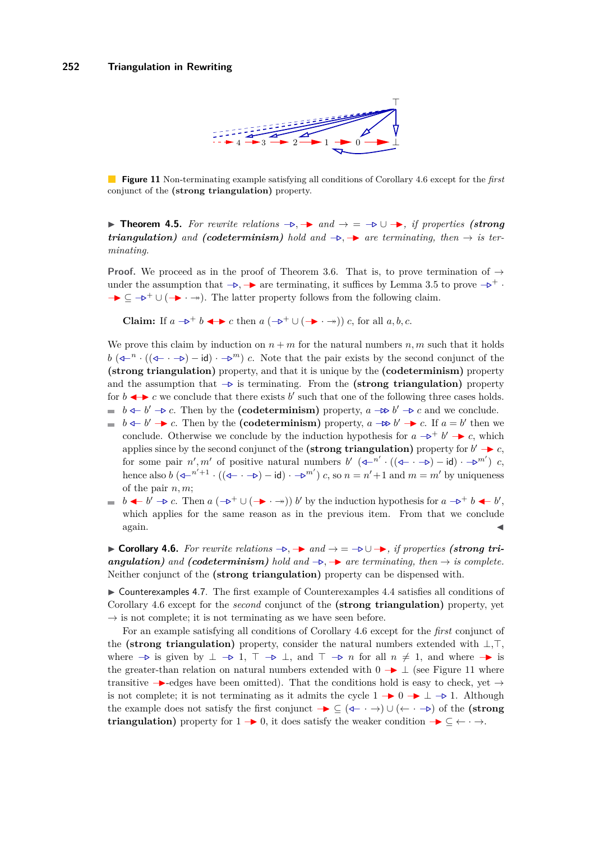

<span id="page-12-1"></span>**Figure 11** Non-terminating example satisfying all conditions of Corollary [4.6](#page-12-0) except for the *first* conjunct of the **(strong triangulation)** property.

**► Theorem 4.5.** For rewrite relations  $\rightarrow \rightarrow$  and  $\rightarrow$  =  $\rightarrow \rightarrow \rightarrow \rightarrow$ , if properties (strong *triangulation)* and (codeterminism) hold and  $\rightarrow$ ,  $\rightarrow$  are terminating, then  $\rightarrow$  is ter*minating.*

**Proof.** We proceed as in the proof of Theorem [3.6.](#page-8-0) That is, to prove termination of  $\rightarrow$ under the assumption that  $-\triangleright$ ,  $-\triangleright$  are terminating, it suffices by Lemma [3.5](#page-7-0) to prove  $-\triangleright$ <sup>+</sup>.  $\rightarrow \subseteq \rightarrow^+ \cup (\rightarrow \rightarrow \rightarrow)$ . The latter property follows from the following claim.

**Claim:** If *a*  $\rightarrow$ <sup>+</sup> *b*  $\rightarrow$   $\rightarrow$  *c* then *a* ( $\rightarrow$ <sup>+</sup> ∪ ( $\rightarrow$  ·  $\rightarrow$ )) *c*, for all *a, b, c*.

We prove this claim by induction on  $n + m$  for the natural numbers  $n, m$  such that it holds  $b$  ( $\left(\triangleleft -^n \cdot ((\triangleleft - \cdot \to) - \text{id}) \cdot \to^m\right) c$ . Note that the pair exists by the second conjunct of the **(strong triangulation)** property, and that it is unique by the **(codeterminism)** property and the assumption that −*.* is terminating. From the **(strong triangulation)** property for  $b \leftrightarrow c$  we conclude that there exists  $b'$  such that one of the following three cases holds. *b*  $\triangle$  *-b'* −*b c*. Then by the (codeterminism) property, *a* − $\triangle$  *b'* − $\triangleright$  *c* and we conclude.

- *b*  $\triangleleft$  *b*<sup>*'*</sup> → *c*. Then by the **(codeterminism)** property, *a* − $\triangle$  *b'* → *c*. If *a* = *b'* then we conclude. Otherwise we conclude by the induction hypothesis for  $a \rightarrow b^+ b' \rightarrow c$ , which applies since by the second conjunct of the **(strong triangulation)** property for  $b' \rightarrow c$ , for some pair  $n', m'$  of positive natural numbers  $b'$  ( $\left(\triangle^{n'}\cdot((\triangle^{n} \cdot \neg b) - \text{id}) \cdot \triangle^{m'}\right)$ ) *c*, hence also  $b$  ( $\left(\begin{matrix}4n^2+1\\1\end{matrix}\right)$   $\left(\begin{matrix}4n-1\\-1\end{matrix}\right)$   $\left(\begin{matrix}4n-1\\-1\end{matrix}\right)$   $\left(\begin{matrix}4n-1\\-1\end{matrix}\right)$   $\left(\begin{matrix}4n-1\\-1\end{matrix}\right)$   $\left(\begin{matrix}4n-1\\-1\end{matrix}\right)$   $\left(\begin{matrix}4n-1\\-1\end{matrix}\right)$   $\left(\begin{matrix}4n-1\\-1\end{matrix}\right)$   $\left(\begin{matrix}4n-1$ of the pair *n, m*;
- *b*  $\leftarrow$  *b*<sup> $\prime$ </sup>  $\rightarrow$  *c*. Then *a* ( $\rightarrow$ <sup>+</sup> ∪ ( $\rightarrow$  ·  $\rightarrow$ )) *b*<sup> $\prime$ </sup> by the induction hypothesis for *a*  $\rightarrow$ <sup>+</sup> *b*  $\leftarrow$  *b*<sup> $\prime$ </sup>, which applies for the same reason as in the previous item. From that we conclude  $\alpha$ gain.

<span id="page-12-0"></span>**► Corollary 4.6.** For rewrite relations  $\rightarrow \rightarrow$  and  $\rightarrow = -\rightarrow \cup \rightarrow$ , if properties (strong tri*angulation)* and (*codeterminism*) hold and  $\rightarrow$ ,  $\rightarrow$  are terminating, then  $\rightarrow$  *is complete.* Neither conjunct of the **(strong triangulation)** property can be dispensed with.

 $\triangleright$  Counterexamples 4.7. The first example of Counterexamples [4.4](#page-11-2) satisfies all conditions of Corollary [4.6](#page-12-0) except for the *second* conjunct of the **(strong triangulation)** property, yet  $\rightarrow$  is not complete; it is not terminating as we have seen before.

For an example satisfying all conditions of Corollary [4.6](#page-12-0) except for the *first* conjunct of the **(strong triangulation)** property, consider the natural numbers extended with  $\bot$ , $\top$ , where  $\rightarrow$  is given by  $\perp \rightarrow 1$ ,  $\top \rightarrow \perp$ , and  $\top \rightarrow n$  for all  $n \neq 1$ , and where  $\rightarrow$  is the greater-than relation on natural numbers extended with  $0 \rightarrow \perp$  (see Figure [11](#page-12-1) where transitive  $\rightarrow$ -edges have been omitted). That the conditions hold is easy to check, yet  $\rightarrow$ is not complete; it is not terminating as it admits the cycle  $1 \rightarrow 0 \rightarrow \perp \rightarrow 1$ . Although the example does not satisfy the first conjunct −I ⊆ (*/*− · →) ∪ (← · −*.*) of the **(strong triangulation)** property for  $1 \rightarrow 0$ , it does satisfy the weaker condition  $\rightarrow \subseteq \leftarrow \rightarrow$ .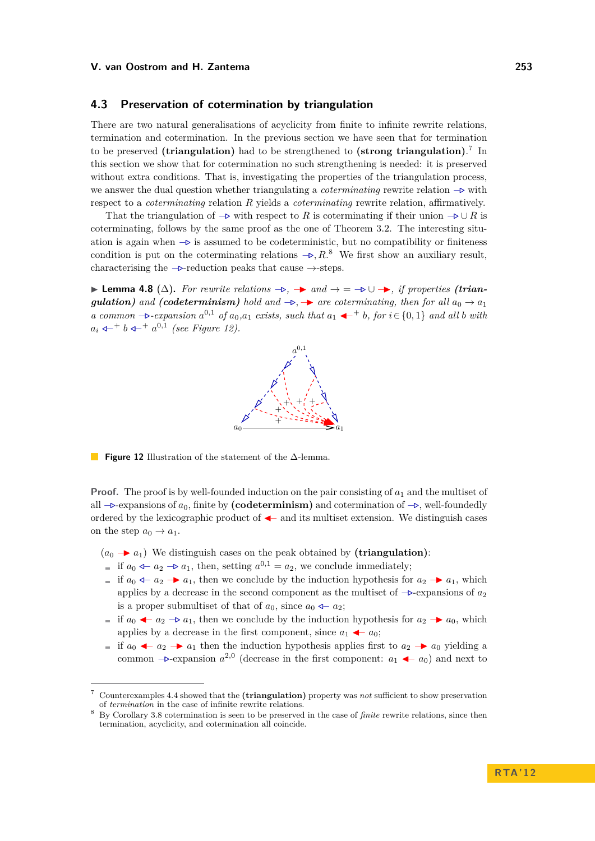### **4.3 Preservation of cotermination by triangulation**

There are two natural generalisations of acyclicity from finite to infinite rewrite relations, termination and cotermination. In the previous section we have seen that for termination to be preserved **(triangulation)** had to be strengthened to **(strong triangulation)**. 7 In this section we show that for cotermination no such strengthening is needed: it is preserved without extra conditions. That is, investigating the properties of the triangulation process, we answer the dual question whether triangulating a *coterminating* rewrite relation −*.* with respect to a *coterminating* relation *R* yields a *coterminating* rewrite relation, affirmatively.

That the triangulation of  $\rightarrow \infty$  with respect to *R* is coterminating if their union  $\rightarrow \cup R$  is coterminating, follows by the same proof as the one of Theorem [3.2.](#page-5-2) The interesting situation is again when −*.* is assumed to be codeterministic, but no compatibility or finiteness condition is put on the coterminating relations  $\rightarrow$ , R.<sup>8</sup> We first show an auxiliary result, characterising the  $-\triangleright$ -reduction peaks that cause  $\rightarrow$ -steps.

<span id="page-13-0"></span>**► Lemma 4.8** ( $\Delta$ ). For rewrite relations  $\rightarrow$ ,  $\rightarrow$  and  $\rightarrow$  =  $\rightarrow$   $\cup$   $\rightarrow$ , if properties (trian*gulation*) *and* (*codeterminism*) *hold and*  $\rightarrow$ ,  $\rightarrow$  *are coterminating, then for all*  $a_0 \rightarrow a_1$ *a* common  $-\triangleright$ -expansion  $a^{0,1}$  of  $a_0, a_1$  exists, such that  $a_1$   $\blacktriangleleft$  + b, for  $i \in \{0,1\}$  and all *b* with  $a_i \leftarrow^+ b \leftarrow^+ a^{0,1}$  (see Figure [12\)](#page-13-0).



**Figure 12** Illustration of the statement of the ∆-lemma.

**Proof.** The proof is by well-founded induction on the pair consisting of  $a_1$  and the multiset of all −*.*-expansions of *a*0, finite by **(codeterminism)** and cotermination of −*.*, well-foundedly ordered by the lexicographic product of  $\blacktriangle$  and its multiset extension. We distinguish cases on the step  $a_0 \rightarrow a_1$ .

- $(a_0 \rightarrow a_1)$  We distinguish cases on the peak obtained by (**triangulation**):
- if *a*<sub>0</sub>  $\text{4}$ − $\text{2}$  →  $\text{a}_1$ , then, setting  $a^{0,1} = a_2$ , we conclude immediately;
- **i** if  $a_0$   $\leftarrow a_2$  →  $a_1$ , then we conclude by the induction hypothesis for  $a_2$  →  $a_1$ , which applies by a decrease in the second component as the multiset of −*.*-expansions of *a*<sup>2</sup> is a proper submultiset of that of  $a_0$ , since  $a_0 \leftarrow a_2$ ;
- $\blacksquare$  if *a*<sub>0</sub>  $\blacktriangleleft$  *a*<sub>2</sub>  $\rightarrow$  *a*<sub>1</sub>, then we conclude by the induction hypothesis for *a*<sub>2</sub>  $\rightarrow$  *a*<sub>0</sub>, which applies by a decrease in the first component, since  $a_1 \leftarrow a_0$ ;
- $\blacksquare$  if *a*<sub>0</sub>  $\blacktriangleleft$   $a_2$   $\blacktriangleright$  *a*<sub>1</sub> then the induction hypothesis applies first to *a*<sub>2</sub>  $\blacktriangleright$  *a*<sub>0</sub> yielding a common  $\rightarrow$ -expansion  $a^{2,0}$  (decrease in the first component:  $a_1 \leftarrow a_0$ ) and next to

<sup>7</sup> Counterexamples [4.4](#page-11-2) showed that the **(triangulation)** property was *not* sufficient to show preservation of *termination* in the case of infinite rewrite relations.

<sup>8</sup> By Corollary [3.8](#page-8-1) cotermination is seen to be preserved in the case of *finite* rewrite relations, since then termination, acyclicity, and cotermination all coincide.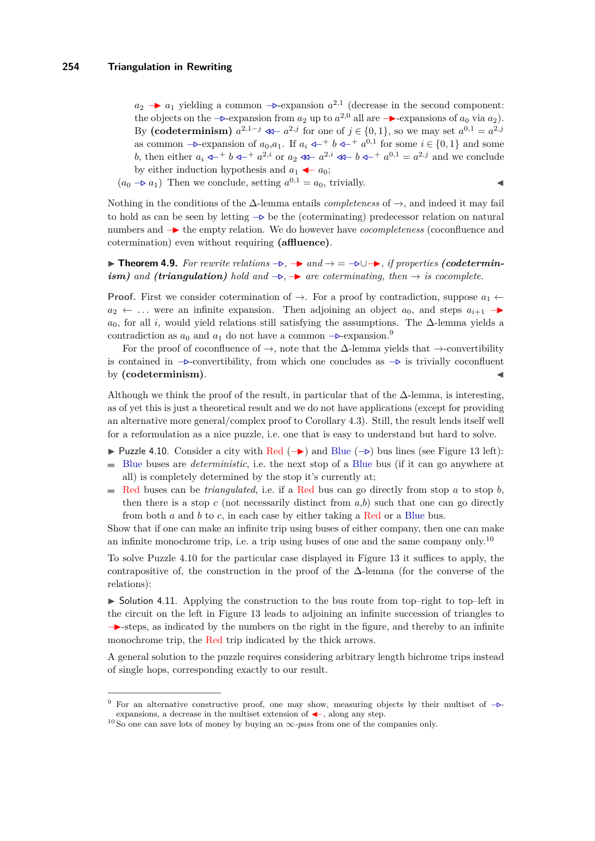$a_2$  →  $a_1$  yielding a common  $\rightarrow$ -expansion  $a^{2,1}$  (decrease in the second component: the objects on the  $-\triangleright$ -expansion from  $a_2$  up to  $a^{2,0}$  all are  $-\triangleright$ -expansions of  $a_0$  via  $a_2$ ). By (codeterminism)  $a^{2,1-j} \ll a^{2,j}$  for one of  $j \in \{0,1\}$ , so we may set  $a^{0,1} = a^{2,j}$ as common  $-\triangleright$ -expansion of  $a_0, a_1$ . If  $a_i \leftarrow^+ b \leftarrow^+ a^{0,1}$  for some  $i \in \{0, 1\}$  and some *b*, then either  $a_i \leftarrow a^{+} b \leftarrow a^{+} a^{2,i}$  or  $a_2 \leftarrow a^{2,i} \leftarrow b \leftarrow a^{+} a^{0,1} = a^{2,j}$  and we conclude by either induction hypothesis and  $a_1 \leftarrow a_0$ ;

 $(a_0 \rightarrow a_1)$  Then we conclude, setting  $a^{0,1} = a_0$ , trivially.

Nothing in the conditions of the ∆-lemma entails *completeness* of →, and indeed it may fail to hold as can be seen by letting −*.* be the (coterminating) predecessor relation on natural numbers and −I the empty relation. We do however have *cocompleteness* (coconfluence and cotermination) even without requiring **(affluence)**.

**► Theorem 4.9.** For rewrite relations  $\rightarrow$ ,  $\rightarrow$  and  $\rightarrow$  =  $\nrightarrow$   $\cup$   $\rightarrow$ , if properties (codetermin*ism)* and (*triangulation*) hold and  $\rightarrow$ ,  $\rightarrow$  are coterminating, then  $\rightarrow$  *is cocomplete.* 

**Proof.** First we consider cotermination of  $\rightarrow$ . For a proof by contradiction, suppose  $a_1 \leftarrow$  $a_2 \leftarrow \dots$  were an infinite expansion. Then adjoining an object  $a_0$ , and steps  $a_{i+1}$   $\rightarrow$  $a_0$ , for all *i*, would yield relations still satisfying the assumptions. The ∆-lemma yields a contradiction as  $a_0$  and  $a_1$  do not have a common  $-\triangleright$ -expansion.<sup>9</sup>

For the proof of coconfluence of  $\rightarrow$ , note that the  $\Delta$ -lemma yields that  $\rightarrow$ -convertibility is contained in −*.*-convertibility, from which one concludes as −*.* is trivially coconfluent by (codeterminism).

Although we think the proof of the result, in particular that of the  $\Delta$ -lemma, is interesting, as of yet this is just a theoretical result and we do not have applications (except for providing an alternative more general/complex proof to Corollary [4.3\)](#page-11-0). Still, the result lends itself well for a reformulation as a nice puzzle, i.e. one that is easy to understand but hard to solve.

- <span id="page-14-0"></span>**I** Puzzle 4.10. Consider a city with Red (→) and Blue (→) bus lines (see Figure [13](#page-15-8) left):
- Blue buses are *deterministic*, i.e. the next stop of a Blue bus (if it can go anywhere at all) is completely determined by the stop it's currently at;
- $\sim$ Red buses can be *triangulated*, i.e. if a Red bus can go directly from stop *a* to stop *b*, then there is a stop  $c$  (not necessarily distinct from  $a,b$ ) such that one can go directly from both *a* and *b* to *c*, in each case by either taking a Red or a Blue bus.

Show that if one can make an infinite trip using buses of either company, then one can make an infinite monochrome trip, i.e. a trip using buses of one and the same company only.<sup>10</sup>

To solve Puzzle [4.10](#page-14-0) for the particular case displayed in Figure [13](#page-15-8) it suffices to apply, the contrapositive of, the construction in the proof of the ∆-lemma (for the converse of the relations):

 $\triangleright$  Solution 4.11. Applying the construction to the bus route from top–right to top–left in the circuit on the left in Figure [13](#page-15-8) leads to adjoining an infinite succession of triangles to −I-steps, as indicated by the numbers on the right in the figure, and thereby to an infinite monochrome trip, the Red trip indicated by the thick arrows.

A general solution to the puzzle requires considering arbitrary length bichrome trips instead of single hops, corresponding exactly to our result.

<sup>9</sup> For an alternative constructive proof, one may show, measuring objects by their multiset of −*.* expansions, a decrease in the multiset extension of  $\leftarrow$ , along any step.

<sup>10</sup> So one can save lots of money by buying an ∞*-pass* from one of the companies only.